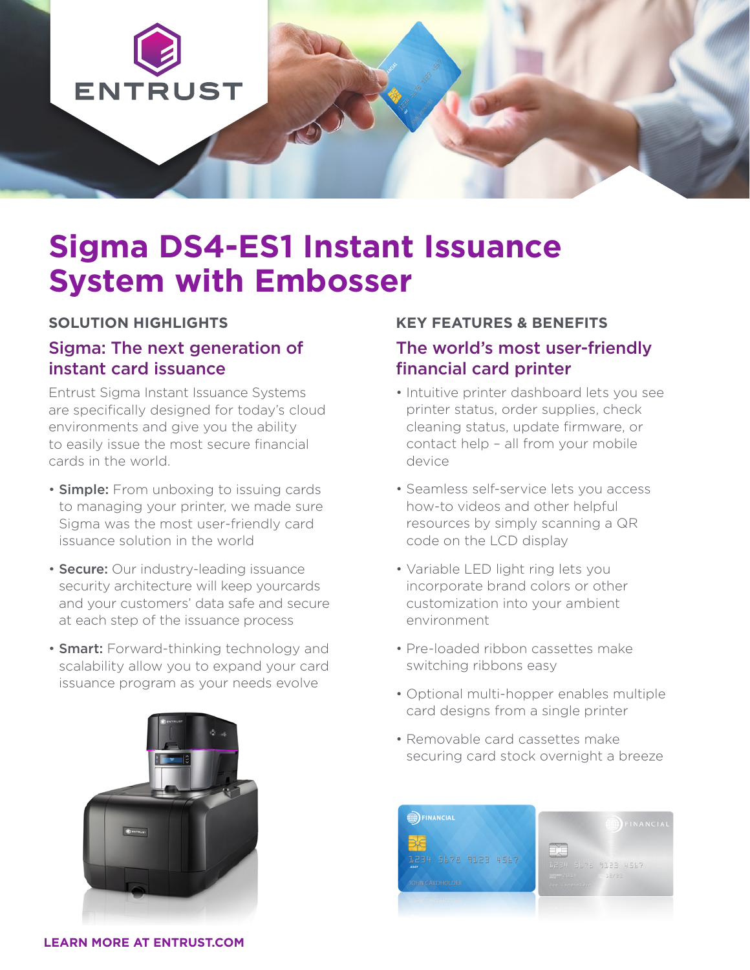

# **Sigma DS4-ES1 Instant Issuance System with Embosser**

#### **SOLUTION HIGHLIGHTS**

### Sigma: The next generation of instant card issuance

Entrust Sigma Instant Issuance Systems are specifically designed for today's cloud environments and give you the ability to easily issue the most secure financial cards in the world.

- **Simple:** From unboxing to issuing cards to managing your printer, we made sure Sigma was the most user-friendly card issuance solution in the world
- **Secure:** Our industry-leading issuance security architecture will keep yourcards and your customers' data safe and secure at each step of the issuance process
- Smart: Forward-thinking technology and scalability allow you to expand your card issuance program as your needs evolve



# **KEY FEATURES & BENEFITS** The world's most user-friendly financial card printer

- Intuitive printer dashboard lets you see printer status, order supplies, check cleaning status, update firmware, or contact help – all from your mobile device
- Seamless self-service lets you access how-to videos and other helpful resources by simply scanning a QR code on the LCD display
- Variable LED light ring lets you incorporate brand colors or other customization into your ambient environment
- Pre-loaded ribbon cassettes make switching ribbons easy
- Optional multi-hopper enables multiple card designs from a single printer
- Removable card cassettes make securing card stock overnight a breeze



**LEARN MORE AT ENTRUST.COM**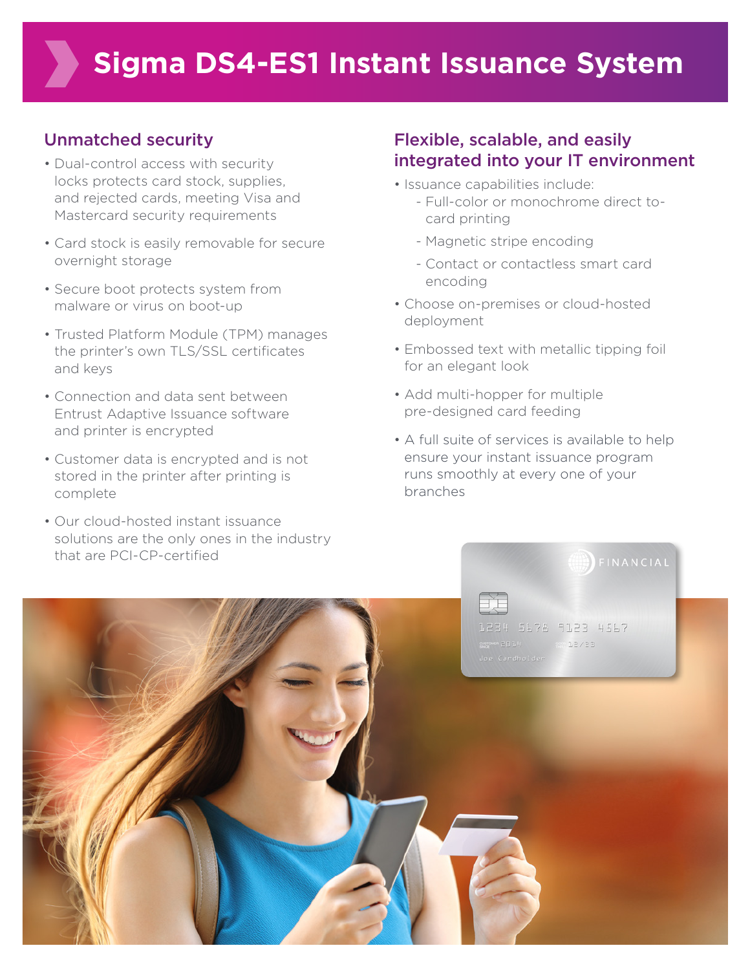## Unmatched security

- Dual-control access with security locks protects card stock, supplies, and rejected cards, meeting Visa and Mastercard security requirements
- Card stock is easily removable for secure overnight storage
- Secure boot protects system from malware or virus on boot-up
- Trusted Platform Module (TPM) manages the printer's own TLS/SSL certificates and keys
- Connection and data sent between Entrust Adaptive Issuance software and printer is encrypted
- Customer data is encrypted and is not stored in the printer after printing is complete
- Our cloud-hosted instant issuance solutions are the only ones in the industry that are PCI-CP-certified

# Flexible, scalable, and easily integrated into your IT environment

- Issuance capabilities include:
	- Full-color or monochrome direct tocard printing
	- Magnetic stripe encoding
	- Contact or contactless smart card encoding
- Choose on-premises or cloud-hosted deployment
- Embossed text with metallic tipping foil for an elegant look
- Add multi-hopper for multiple pre-designed card feeding
- A full suite of services is available to help ensure your instant issuance program runs smoothly at every one of your branches

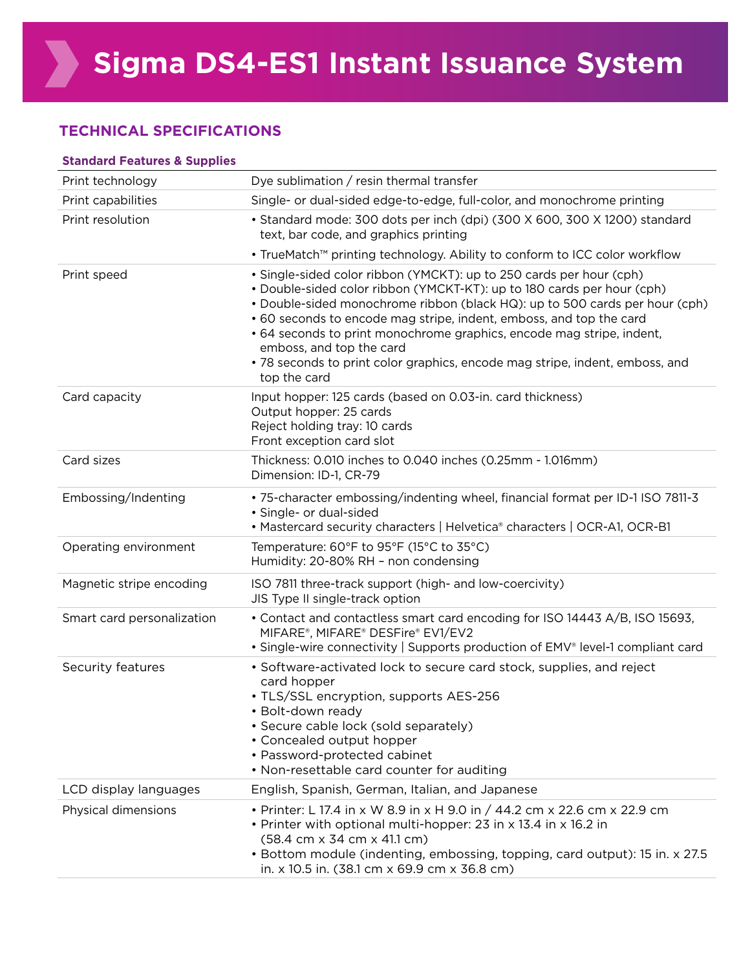#### **TECHNICAL SPECIFICATIONS**

| <b>Standard Features &amp; Supplies</b> |                                                                                                                                                                                                                                                                                                                                                                                                                                                                                                          |  |
|-----------------------------------------|----------------------------------------------------------------------------------------------------------------------------------------------------------------------------------------------------------------------------------------------------------------------------------------------------------------------------------------------------------------------------------------------------------------------------------------------------------------------------------------------------------|--|
| Print technology                        | Dye sublimation / resin thermal transfer                                                                                                                                                                                                                                                                                                                                                                                                                                                                 |  |
| Print capabilities                      | Single- or dual-sided edge-to-edge, full-color, and monochrome printing                                                                                                                                                                                                                                                                                                                                                                                                                                  |  |
| Print resolution                        | • Standard mode: 300 dots per inch (dpi) (300 X 600, 300 X 1200) standard<br>text, bar code, and graphics printing                                                                                                                                                                                                                                                                                                                                                                                       |  |
|                                         | • TrueMatch™ printing technology. Ability to conform to ICC color workflow                                                                                                                                                                                                                                                                                                                                                                                                                               |  |
| Print speed                             | • Single-sided color ribbon (YMCKT): up to 250 cards per hour (cph)<br>. Double-sided color ribbon (YMCKT-KT): up to 180 cards per hour (cph)<br>• Double-sided monochrome ribbon (black HQ): up to 500 cards per hour (cph)<br>• 60 seconds to encode mag stripe, indent, emboss, and top the card<br>• 64 seconds to print monochrome graphics, encode mag stripe, indent,<br>emboss, and top the card<br>• 78 seconds to print color graphics, encode mag stripe, indent, emboss, and<br>top the card |  |
| Card capacity                           | Input hopper: 125 cards (based on 0.03-in. card thickness)<br>Output hopper: 25 cards<br>Reject holding tray: 10 cards<br>Front exception card slot                                                                                                                                                                                                                                                                                                                                                      |  |
| Card sizes                              | Thickness: 0.010 inches to 0.040 inches (0.25mm - 1.016mm)<br>Dimension: ID-1, CR-79                                                                                                                                                                                                                                                                                                                                                                                                                     |  |
| Embossing/Indenting                     | • 75-character embossing/indenting wheel, financial format per ID-1 ISO 7811-3<br>· Single- or dual-sided<br>• Mastercard security characters   Helvetica® characters   OCR-A1, OCR-B1                                                                                                                                                                                                                                                                                                                   |  |
| Operating environment                   | Temperature: 60°F to 95°F (15°C to 35°C)<br>Humidity: 20-80% RH - non condensing                                                                                                                                                                                                                                                                                                                                                                                                                         |  |
| Magnetic stripe encoding                | ISO 7811 three-track support (high- and low-coercivity)<br>JIS Type II single-track option                                                                                                                                                                                                                                                                                                                                                                                                               |  |
| Smart card personalization              | • Contact and contactless smart card encoding for ISO 14443 A/B, ISO 15693,<br>MIFARE®, MIFARE® DESFire® EV1/EV2<br>• Single-wire connectivity   Supports production of EMV® level-1 compliant card                                                                                                                                                                                                                                                                                                      |  |
| Security features                       | • Software-activated lock to secure card stock, supplies, and reject<br>card hopper<br>• TLS/SSL encryption, supports AES-256<br>· Bolt-down ready<br>· Secure cable lock (sold separately)<br>• Concealed output hopper<br>• Password-protected cabinet<br>• Non-resettable card counter for auditing                                                                                                                                                                                                   |  |
| LCD display languages                   | English, Spanish, German, Italian, and Japanese                                                                                                                                                                                                                                                                                                                                                                                                                                                          |  |
| Physical dimensions                     | • Printer: L 17.4 in x W 8.9 in x H 9.0 in / 44.2 cm x 22.6 cm x 22.9 cm<br>• Printer with optional multi-hopper: 23 in x 13.4 in x 16.2 in<br>(58.4 cm x 34 cm x 41.1 cm)<br>• Bottom module (indenting, embossing, topping, card output): 15 in. x 27.5<br>in. x 10.5 in. (38.1 cm x 69.9 cm x 36.8 cm)                                                                                                                                                                                                |  |